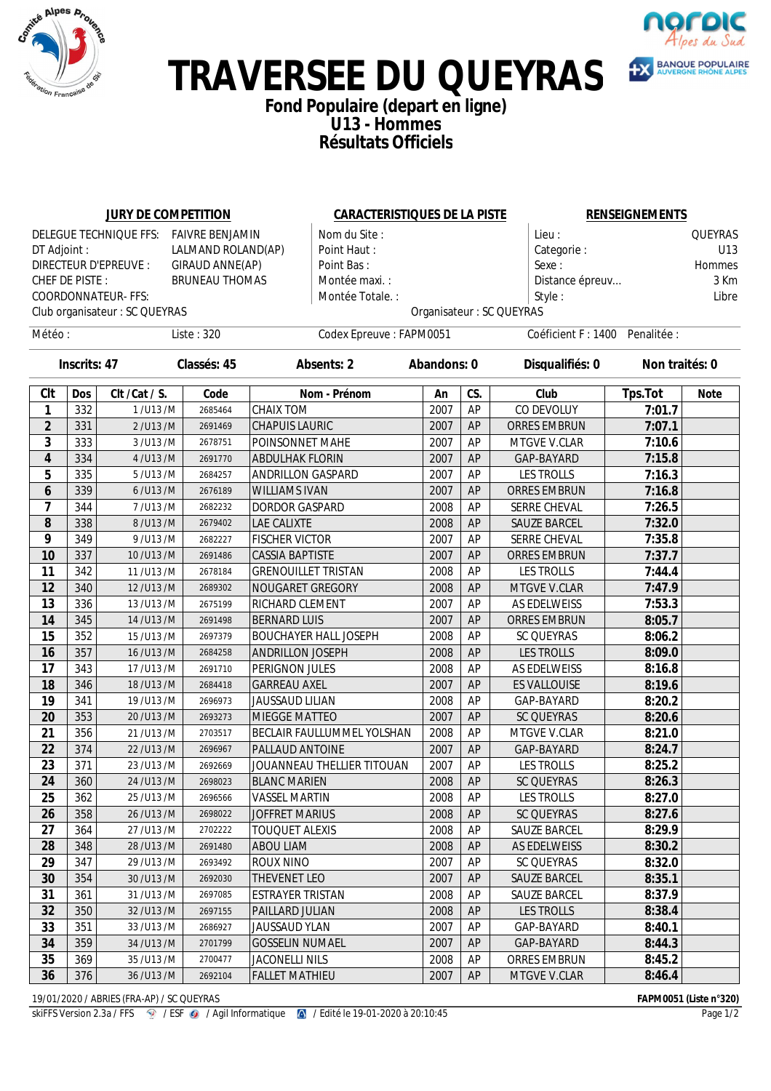



## **TRAVERSEE DU QUEYRAS**

### **Fond Populaire (depart en ligne) U13 - Hommes Résultats Officiels**

|                      |                | <b>JURY DE COMPETITION</b>     |                       | <b>CARACTERISTIQUES DE LA PISTE</b>         |                                                            |           |                           | <b>RENSEIGNEMENTS</b> |                |  |
|----------------------|----------------|--------------------------------|-----------------------|---------------------------------------------|------------------------------------------------------------|-----------|---------------------------|-----------------------|----------------|--|
|                      |                | DELEGUE TECHNIQUE FFS:         | FAIVRE BENJAMIN       | Nom du Site :                               |                                                            |           | Lieu:                     |                       | <b>QUEYRAS</b> |  |
| DT Adjoint :         |                |                                | LALMAND ROLAND(AP)    | Point Haut:                                 |                                                            |           | Categorie:                |                       | U13            |  |
|                      |                | <b>DIRECTEUR D'EPREUVE :</b>   | GIRAUD ANNE(AP)       | Point Bas:                                  |                                                            |           | Sexe:                     |                       | <b>Hommes</b>  |  |
|                      | CHEF DE PISTE: |                                | <b>BRUNEAU THOMAS</b> | Montée maxi.:                               |                                                            |           | Distance épreuv           |                       | 3 Km           |  |
|                      |                | <b>COORDONNATEUR- FFS:</b>     |                       | Montée Totale.:                             |                                                            |           | Style:                    |                       |                |  |
|                      |                | Club organisateur : SC QUEYRAS |                       |                                             |                                                            |           | Organisateur : SC QUEYRAS |                       |                |  |
| Liste: 320<br>Météo: |                |                                |                       |                                             | Codex Epreuve: FAPM0051<br>Coéficient F : 1400 Penalitée : |           |                           |                       |                |  |
| <b>Inscrits: 47</b>  |                | Classés: 45                    |                       | <b>Absents: 2</b>                           | <b>Abandons: 0</b>                                         |           | Disqualifiés: 0           |                       | Non traités: 0 |  |
| CIt                  | <b>Dos</b>     | CIt / Cat / S.                 | Code                  | Nom - Prénom                                | An                                                         | CS.       | Club                      | Tps.Tot               | <b>Note</b>    |  |
| 1                    | 332            | 1/U13/M                        | 2685464               | <b>CHAIX TOM</b>                            | 2007                                                       | AP        | CO DEVOLUY                | 7:01.7                |                |  |
| $\overline{2}$       | 331            | 2/U13/M                        | 2691469               | <b>CHAPUIS LAURIC</b>                       | 2007                                                       | AP        | <b>ORRES EMBRUN</b>       | 7:07.1                |                |  |
| 3                    | 333            | 3/U13/M                        | 2678751               | POINSONNET MAHE                             | 2007                                                       | AP        | MTGVE V.CLAR              | 7:10.6                |                |  |
| 4                    | 334            | 4/U13/M                        | 2691770               | <b>ABDULHAK FLORIN</b>                      | 2007                                                       | AP        | GAP-BAYARD                | 7:15.8                |                |  |
| 5                    | 335            | 5/U13/M                        | 2684257               | <b>ANDRILLON GASPARD</b>                    | 2007                                                       | AP        | <b>LES TROLLS</b>         | 7:16.3                |                |  |
| 6                    | 339            | 6/U13/M                        | 2676189               | <b>WILLIAMS IVAN</b>                        | 2007                                                       | AP        | <b>ORRES EMBRUN</b>       | 7:16.8                |                |  |
| 7                    | 344            | 7/U13/M                        | 2682232               | <b>DORDOR GASPARD</b>                       | 2008                                                       | AP        | SERRE CHEVAL              | 7:26.5                |                |  |
| 8                    | 338            | 8/U13/M                        | 2679402               | LAE CALIXTE                                 | 2008                                                       | AP        | <b>SAUZE BARCEL</b>       | 7:32.0                |                |  |
| 9                    | 349            | 9/U13/M                        | 2682227               | <b>FISCHER VICTOR</b>                       | 2007                                                       | AP        | SERRE CHEVAL              | 7:35.8                |                |  |
| 10                   | 337            | 10/U13/M                       | 2691486               | <b>CASSIA BAPTISTE</b>                      | 2007                                                       | AP        | <b>ORRES EMBRUN</b>       | 7:37.7                |                |  |
| 11                   | 342            | 11/U13/M                       | 2678184               | <b>GRENOUILLET TRISTAN</b>                  | 2008                                                       | AP        | <b>LES TROLLS</b>         | 7:44.4                |                |  |
| 12                   | 340            | 12/U13/M                       | 2689302               | NOUGARET GREGORY                            | 2008                                                       | AP        | MTGVE V.CLAR              | 7:47.9                |                |  |
| 13                   | 336            | 13/U13/M                       | 2675199               | RICHARD CLEMENT                             | 2007                                                       | AP        | AS EDELWEISS              | 7:53.3                |                |  |
| 14                   | 345            | 14/U13/M                       | 2691498               | <b>BERNARD LUIS</b>                         | 2007                                                       | AP        | <b>ORRES EMBRUN</b>       | 8:05.7                |                |  |
| 15                   | 352            | 15/U13/M                       | 2697379               | <b>BOUCHAYER HALL JOSEPH</b>                | 2008                                                       | AP        | <b>SC QUEYRAS</b>         | 8:06.2                |                |  |
| 16                   | 357            | 16/U13/M                       | 2684258               | <b>ANDRILLON JOSEPH</b>                     | 2008                                                       | AP        | <b>LES TROLLS</b>         | 8:09.0                |                |  |
| 17                   | 343            | 17/U13/M                       | 2691710               | PERIGNON JULES                              | 2008                                                       | AP        | AS EDELWEISS              | 8:16.8                |                |  |
| 18                   | 346            | 18/U13/M                       | 2684418               | <b>GARREAU AXEL</b>                         | 2007                                                       | AP        | <b>ES VALLOUISE</b>       | 8:19.6                |                |  |
| 19                   | 341            | 19/U13/M                       | 2696973               | <b>JAUSSAUD LILIAN</b>                      | 2008                                                       | AP        | GAP-BAYARD                | 8:20.2                |                |  |
| 20                   | 353            | 20/U13/M                       | 2693273               | <b>MIEGGE MATTEO</b>                        | 2007                                                       | AP        | <b>SC QUEYRAS</b>         | 8:20.6                |                |  |
| 21                   | 356            | 21/U13/M                       | 2703517               | <b>BECLAIR FAULLUMMEL YOLSHAN</b>           | 2008                                                       | AP        | MTGVE V.CLAR              | 8:21.0                |                |  |
| 22<br>23             | 374<br>371     | 22/U13/M                       | 2696967               | PALLAUD ANTOINE                             | 2007                                                       | AP<br>AP  | GAP-BAYARD                | 8:24.7                |                |  |
|                      |                | 23/U13/M                       | 2692669               | JOUANNEAU THELLIER TITOUAN                  | 2007                                                       |           | <b>LES TROLLS</b>         | 8:25.2                |                |  |
| 24<br>25             | 360<br>362     | 24/U13/M<br>25/U13/M           | 2698023<br>2696566    | <b>BLANC MARIEN</b><br><b>VASSEL MARTIN</b> | 2008<br>2008                                               | AP<br>AP  | SC QUEYRAS<br>LES TROLLS  | 8:26.3<br>8:27.0      |                |  |
| 26                   | 358            | 26/U13/M                       | 2698022               | <b>JOFFRET MARIUS</b>                       | 2008                                                       | AP        | <b>SC QUEYRAS</b>         | 8:27.6                |                |  |
| 27                   | 364            | 27/U13/M                       | 2702222               | <b>TOUQUET ALEXIS</b>                       | 2008                                                       | AP        | SAUZE BARCEL              | 8:29.9                |                |  |
| 28                   | 348            | 28/U13/M                       | 2691480               | <b>ABOU LIAM</b>                            | 2008                                                       | AP        | AS EDELWEISS              | 8:30.2                |                |  |
| 29                   | 347            | 29/U13/M                       | 2693492               | <b>ROUX NINO</b>                            | 2007                                                       | AP        | SC QUEYRAS                | 8:32.0                |                |  |
| 30                   | 354            | 30/U13/M                       | 2692030               | THEVENET LEO                                | 2007                                                       | <b>AP</b> | SAUZE BARCEL              | 8:35.1                |                |  |
| 31                   | 361            | 31/U13/M                       | 2697085               | <b>ESTRAYER TRISTAN</b>                     | 2008                                                       | AP        | SAUZE BARCEL              | 8:37.9                |                |  |
| 32                   | 350            | 32/U13/M                       | 2697155               | PAILLARD JULIAN                             | 2008                                                       | AP        | <b>LES TROLLS</b>         | 8:38.4                |                |  |
| 33                   | 351            | 33/U13/M                       | 2686927               | <b>JAUSSAUD YLAN</b>                        | 2007                                                       | AP        | GAP-BAYARD                | 8:40.1                |                |  |
| 34                   | 359            | 34/U13/M                       | 2701799               | <b>GOSSELIN NUMAEL</b>                      | 2007                                                       | AP        | GAP-BAYARD                | 8:44.3                |                |  |
| 35                   | 369            | 35/U13/M                       | 2700477               | <b>JACONELLI NILS</b>                       | 2008                                                       | AP        | ORRES EMBRUN              | 8:45.2                |                |  |
| 36                   | 376            | 36/U13/M                       | 2692104               | <b>FALLET MATHIEU</b>                       | 2007                                                       | AP        | MTGVE V.CLAR              | 8:46.4                |                |  |

19/01/2020 / ABRIES (FRA-AP) / SC QUEYRAS<br>
skiFFS Version 2.3a / FFS **@** / ESF @ / Agil Informatique **@** / Edité le 19-01-2020 à 20:10:45 **FAPM0051 (Liste n°320)**<br>
Page 1/2

skiFFS Version 2.3a / FFS <sup>2</sup> / ESF <sup>2</sup> / Agil Informatique <sup>2</sup> / Edité le 19-01-2020 à 20:10:45